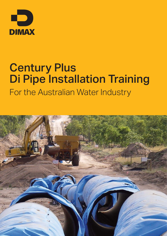

# Century Plus Di Pipe Installation Training For the Australian Water Industry

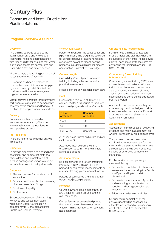# Century Plus

## Construct and Install Ductile Iron Pipeline Satems

### Program Overview & Outline

#### **Overview**

This training package supports the attainment of skills and knowledge required for field and operational staff with responsibility for ensuring that water distribution assets are constructed and installed in a safe and timely manner.

Viadux delivers this training package in all states & territories of Australia.

The course has been developed to provide the correct information for pipe layers to correctly install Ductile Iron pipelines used for water, sewage and irrigation across Australia.

Viadux delivers a practical program where participants are required to demonstrate competency in handling and laying of DI pipelines to accepted industry standards.

#### **Delivery**

Courses are either delivered at main venues operated by Viadux or alternatively at remote locations for major pipeline projects.

#### Pre-requisites

There are no pre-requisites for entry to this course.

#### **Objective**

To provide pipelayers with a sound basis of efficient and competent methods of installation and reinstatement of pipeline coatings and linings to relevant manufacturers and industry standards.

#### **Outcomes**

- 1. Plan and prepare for construction & installation
- 2. Construct and install distribution assets, pipes and associated fittings
- 3. Confirm work quality
- 4. Finalise work

Successful completion of the training workshop and assessment tasks will result in Viadux Certification in competency to "Construct and Install Ductile Iron Pipeline Systems"

#### Who Should Attend

Personnel involved in the construction and pipeline industry. The program is designed for general pipelayers, leading hands and supervisors, as well as for engineering personnel in order to gain general pipeline construction & installation knowledge.

#### Course Length

One full day (8am – 4pm) of facilitated training including a theoretical and a practical assessment.

Please be on site at 7:45am for a 8am start.

#### **Cost**

Please note a minimum of 10 people are required for a full course to run. Cost includes all program handouts/manuals.

| No. of<br><b>Attendees</b> | Cost per<br><b>Attendee</b> |
|----------------------------|-----------------------------|
| 1 or $2$                   | \$490                       |
| $3+$                       | \$420                       |
| <b>Full Course</b>         | Contact Us                  |

All prices are in Australian Dollars and are exclusive of GST.

Attendees must be from the same organisation to qualify for the multiple attendee discount.

#### Additional Costs

Re-assessments and refresher training (metro): AUD\$120.00 plus GST per person. For non-metro reassessments or refresher training, please contact Viadux.

Reissue of certificates and/or registration cards: AUD\$80.00 plus GST.

#### Payment

Course payment can be made through any Viadux or Reece Group branch, or over the phone.

Course fees must be received prior to the date of training. Please notify the Viadux Training Manager when payment has been made.

#### Off-site Facility Requirements

For all off-site training, a whiteboard, chairs & tables and electricity need to be supplied by the venue. Please advise us if you cannot supply these items by contacting the Training Manager - Tel: 0429 926 488

#### Competency Based Training & Assessment

Competency-based training (CBT) is an approach to vocational education and training that places emphasis on what a person can do in the workplace as a result of a combination of hands-on experience and completing a structured training program.

A student is competent when they are able to apply their knowledge and skills to successfully complete specific work activities in a range of situations and working environments.

#### Assessments

Assessment is the process of collecting evidence and making a judgement on whether competency has been achieved.

The purpose of assessment is to confirm that a student can perform to the standard expected in the workplace, as expressed in the relevant endorsed industry or enterprise competency standards.

For this workshop, competency is assessed through:

- › Successful completion of a theoretical assessment exercise using the Ductile Iron Pipe Handling & Installation Manual; and
- Successful demonstration of practical understanding and application of handling and laying particular pipe materials; and
- **>** Evidence from learning activities.

On successful completion of the unit, a student will be assessed as either Competent and will gain Viadux certification; else if not successful - Not-Competent.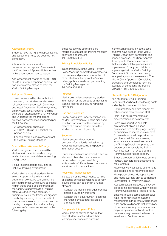#### Assessment Policy

Students have the right to appeal against an assessment if they are deemed not competent.

All students have access to reassessment on appeal. Please refer to the Complaints & Appeals Policy further in this document on how to appeal.

A re-assessment charge of AUD\$100.00 plus GST (metro) per person applies. For non-metro areas, please contact the Viadux Training Manager.

#### Refresher Training

It is recommended by Viadux, but not mandatory, that students undertake a refresher training course, in Construct and Install Ductile Iron Pipeline Systems, on a 5 yearly basis. Refresher training consists of attendance of a full workshop and undertake the theoretical and practical assessment as conducted per the full course.

- › A reassessment charge of AUD\$120.00 plus GST (metro) per person applies.
- › For non-metro areas, please contact the Viadux Training Manager.

#### Special Needs (Access & Equity)

Viadux recognises that there will be students with special needs, a range of levels of education and diverse learning backgrounds.

Viadux is committed to providing an inclusive learning environment.

Viadux shall ensure all students have an equal opportunity to learn and better themselves. As such, aid will be provided to those who require additional help in these areas, so as to maximize their ability to undertake their training effectively. (e.g. In case of literacy & numeracy issues, the trainer will organise a verbal questioning of the theoretical assessment as a one-on-one session on the day, if time permits, or alternatively by means of a one-on-one session the following day.)

Students seeking assistance are required to contact the Training Manager prior to the course, on: Tel: 0429 926 488.

#### Privacy Principles & Policy

In accordance with the Viadux Privacy Policy, Viadux is committed to protecting the privacy and personal information of all our students. A copy of the Viadux privacy policy is available by contacting the Training Manager on: Tel: 0429 926 488.

#### Purpose

Viadux only collects necessary student information for the purpose of managing training records and issuing refresher reminders.

#### Use and Disclosure

Except as required under Australian law, student information will not be disclosed to a third party without the consent, by means of a written request, from the student or their employer only.

#### Security

Viadux ensures that student's personal information is maintained by keeping student records and personal information secure.

Student records are maintained in secure electronic files which are password protected and only accessible by authorised staff. Paper based documents are stored in locked cabinets.

#### Resolving Privacy Issues

If a student or individual wishes to raise or discuss any issues relating to privacy issues, these can be done in a number of ways:

- › Contact the Training Manager (contact details provided in this form)
- Contact the Viadux Human Resources Manager (contact details available upon request)

#### Complaints & Appeals Policy

Viadux Training strives to ensure that each student is satisfied with their learning experience and outcome.

In the event that this is not the case, students have access to the Viadux Training Department complaints and appeals process. The Client Appeals & Complaints Procedure ensures that fair and equitable processes are implemented for any complaints or appeals against the Viadux Training Department. Students have the right to appeal against an assessment. The Viadux Client Appeals & Complaints procedure and Complaints form are available by contacting the Training Manager – Tel: 0429 926 488.

#### Students Rights & Obligations

As a student of Viadux Training Department you have the following rights and obligations/responsibilities:

- › Be treated fairly and with respect by other course members and staff;
- learn in an environment free of discrimination and harassment;
- › Learn in a supportive and safe environment which includes assistance with any language, literacy or numeracy concerns you may have. Extra assistance will be provided to you if required. Students seeking assistance are required to contact the Training Coordinator prior to the course, or alternatively the Training Administrator – Tel: 0429 926488. Refer to Special Needs section.
- Study a program which meets current industry standards and assessment requirements;
- › Have your work assessed as promptly as possible and to receive feedback;
- Have personal records kept private and made available only to authorised users; Refer to Privacy Principles.
- Appeal results and access the review process in accordance with principles; Refer to Complaints & Appeals Policy.
- Ensure all course participants receive equal opportunities and gain the maximum from their time with us, these rules apply to all people that attend any of our sessions. Any person(s) whom displays dysfunctional or disruptive behaviour may be asked to leave the session and / or the course.